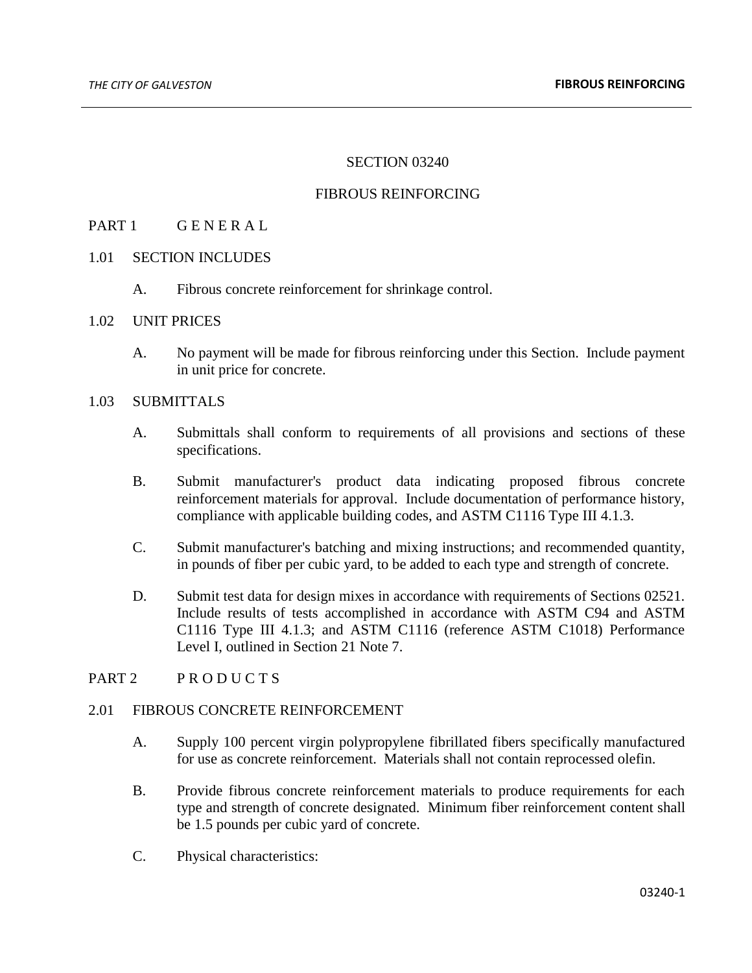## SECTION 03240

#### FIBROUS REINFORCING

## PART 1 GENERAL

#### 1.01 SECTION INCLUDES

- A. Fibrous concrete reinforcement for shrinkage control.
- 1.02 UNIT PRICES
	- A. No payment will be made for fibrous reinforcing under this Section. Include payment in unit price for concrete.

## 1.03 SUBMITTALS

- A. Submittals shall conform to requirements of all provisions and sections of these specifications.
- B. Submit manufacturer's product data indicating proposed fibrous concrete reinforcement materials for approval. Include documentation of performance history, compliance with applicable building codes, and ASTM C1116 Type III 4.1.3.
- C. Submit manufacturer's batching and mixing instructions; and recommended quantity, in pounds of fiber per cubic yard, to be added to each type and strength of concrete.
- D. Submit test data for design mixes in accordance with requirements of Sections 02521. Include results of tests accomplished in accordance with ASTM C94 and ASTM C1116 Type III 4.1.3; and ASTM C1116 (reference ASTM C1018) Performance Level I, outlined in Section 21 Note 7.

## PART 2 PRODUCTS

### 2.01 FIBROUS CONCRETE REINFORCEMENT

- A. Supply 100 percent virgin polypropylene fibrillated fibers specifically manufactured for use as concrete reinforcement. Materials shall not contain reprocessed olefin.
- B. Provide fibrous concrete reinforcement materials to produce requirements for each type and strength of concrete designated. Minimum fiber reinforcement content shall be 1.5 pounds per cubic yard of concrete.
- C. Physical characteristics: